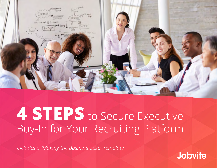

# **4 STEPS** to Secure Executive Buy-In for Your Recruiting Platform

*Includes a "Making the Business Case" Template*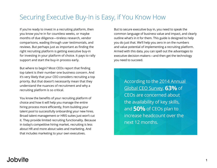# Securing Executive Buy-In is Easy, if You Know How

If you're ready to invest in a recruiting platform, then you know you're in for countless weeks, or maybe months of due diligence—tireless research, vendor comparisons, wading through user testimonials, and reviews. But perhaps just as important as finding the right recruiting platform is getting executive buy-in for investing in your platform of choice. It pays to rally support and start the buy-in process early.

But where to begin? Most CEOs report that finding top talent is their number one business concern. And it's very likely that your CEO considers recruiting a top priority. But that doesn't necessarily mean that they understand the nuances of recruitment and why a recruiting platform is so critical.

You know the benefits of your recruiting platform of choice and how it will help you manage the entire hiring process more efficiently, from building your talent pool to successfully onboarding your new hires. Broad talent management or HRIS suites just won't cut it. They provide limited recruiting functionality. Because in today's competitive hiring market, recruiting is less about HR and more about sales and marketing. And that includes marketing to your own executives.

But to secure executive buy in, you need to speak the common language of business value and impact, and clearly outline what's in it for them. This guide is designed to help you do just that. We'll help you zero in on the numbers and value potential of implementing a recruiting platform. Armed with this data, you can spell out the advantages to executive decision-makers—and then get the technology you need to succeed.

> According to the [2014 Annual](http://www.pwc.com/gx/en/hr-management-services/publications/assets/ceosurvey-talent-challenge.pdf)  [Global CEO Survey](http://www.pwc.com/gx/en/hr-management-services/publications/assets/ceosurvey-talent-challenge.pdf), **63%** of CEOs are concerned about the availability of key skills, and **50%** of CEOs plan to increase headcount over the next 12 months.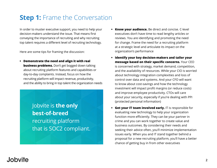# **Step 1:** Frame the Conversation

In order to muster executive support, you need to help your decision-makers understand the issue. That means first conveying the importance of recruiting and why recruiting top talent requires a different level of recruiting technology.

Here are some tips for framing the discussion:

**• Demonstrate the need and align it with real business problems.** Don't get bogged down talking about recruiting platform features and capabilities or day-to-day complaints. Instead, focus on how the recruiting platform will impact revenue, productivity, and the ability to bring in top talent the organization needs

> Jobvite is **the only best-of-breed** recruiting platform that is SOC2 compliant.

- **• Know your audience.** Be direct and concise. C-level executives don't have time to read lengthy articles or reviews. You are identifying and promoting the need for change. Frame the need for a recruiting platform at a strategic level and articulate its impact on the organization's performance
- **• Identify your key decision-makers and tailor your message based on their specific concerns.** Your CEO is concerned with strategy, market demand, competition, and the availability of resources. While your CIO is worried about technology integration complexities and loss of control over data and systems. And your CFO will want to know about cost-savings and how the technology investment will impact profit margins (or reduce costs) and improve employee productivity. CTOs will care about your security, especially if you're dealing with PPI (protected personal information)
- **• Get your IT team involved early.** IT is responsible for evaluating new technology to help your organization function more efficiently. They can be your partner in crime and you can work together to create value and business outcomes. By considering their needs and seeking their advice often, you'll minimize implementation issues early. When you and IT stand together behind a proposal for a new recruiting platform, you'll have a better chance of getting buy in from other executives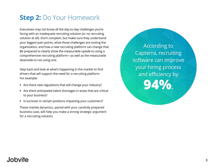# **Step 2:** Do Your Homework

Executives may not know all the day-to-day challenges you're facing with an inadequate recruiting solution (or no recruiting solution at all). Don't complain, but make sure they understand your biggest pain points, what those challenges are costing the organization, and how a new recruiting platform can change that. Be prepared to clearly show the measurable upside to using a comprehensive recruiting platform—as well as the measurable downside to not using one.

Step back and look at what's happening in the market to find drivers that will support the need for a recruiting platform. For example:

- **•** Are there new regulations that will change your industry?
- **•** Are there anticipated talent shortages in areas that are critical to your business?
- **•** Is turnover in certain positions impacting your customers?

These market dynamics, paired with your carefully prepared business case, will help you make a strong strategic argument for a recruiting solution.

According to Capterra, recruiting software can improve your hiring process and efficiency by **94%.**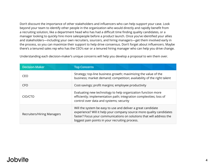Don't discount the importance of other stakeholders and influencers who can help support your case. Look beyond your team to identify other people in the organization who would directly and rapidly benefit from a recruiting solution, like a department head who has had a difficult time finding quality candidates, or a manager looking to quickly hire more salespeople before a product launch. Once you've identified your allies and stakeholders—including your own recruiters, sourcers, and hiring managers—get them involved early in the process, so you can maximize their support to help drive consensus. Don't forget about influencers. Maybe there's a tenured sales rep who has the CEO's ear or a tenured hiring manager who can help you drive change.

| <b>Decision-Maker</b>      | <b>Top Concerns</b>                                                                                                                                                                                                                                             |
|----------------------------|-----------------------------------------------------------------------------------------------------------------------------------------------------------------------------------------------------------------------------------------------------------------|
| CEO                        | Strategy; top-line business growth; maximizing the value of the<br>business; market demand; competition; availability of the right talent                                                                                                                       |
| <b>CFO</b>                 | Cost-savings; profit margins; employee productivity                                                                                                                                                                                                             |
| CIO/CTO                    | Evaluating new technology to help organization function more<br>efficiently; implementation path; integration complexities; loss of<br>control over data and systems; security                                                                                  |
| Recruiters/Hiring Managers | Will the system be easy to use and deliver a great candidate<br>experience? Will it help your company source more quality candidates<br>faster? Focus your communications on solutions that will address the<br>biggest pain points in your recruiting process. |

Understanding each decision-maker's unique concerns will help you develop a proposal to win them over.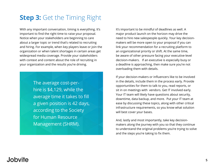# **Step 3: Get the Timing Right**

With any important conversation, timing is everything. It's important to find the right time to raise your proposal. Notice when your stakeholders are beginning to care about a larger topic or trend that's related to recruiting and hiring. For example, when key players leave or join the organization or when talent shortages in certain areas get widespread media coverage. Provide your stakeholders with context and content about the role of recruiting in your organization and the results you're driving.

> The average cost-perhire is \$4,129, while the average time it takes to fill a given position is 42 days, according to the Society for Human Resource Management (SHRM).

It's important to be mindful of deadlines as well. A major product launch on the horizon may drive the need to hire new salespeople quickly. Your key decisionmakers will be more open to your proposal if you can link your recommendation for a recruiting platform to an organizational priority or shift. At the same time, be aware of other pressure facing your executive-level decision-makers. If an executive is especially busy or a deadline is approaching, then make sure you're not overloading them with details.

If your decision-makers or influencers like to be involved in the details, include them in the process early. Provide opportunities for them to talk to you, read reports, or sit in on meetings with vendors. Get IT involved early. Your IT team will likely have questions about security, downtime, data backup, and more. Put your IT team at ease by discussing these topics, along with other critical infrastructure requirements, so you know what solution will best cover your bases.

And, lastly and most importantly, take key decisionmakers along the journey with you so that they continue to understand the original problems you're trying to solve and the steps you're taking to fix them.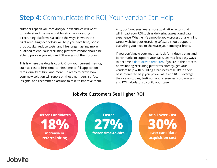# **Step 4:** Communicate the ROI, Your Vendor Can Help

Numbers speak volumes and your executives will want to understand the measurable return on investing in a recruiting platform. Calculate the ways in which the right recruiting technology will help you save time, boost productivity, reduce costs, and hire longer lasting, more qualified talent. Your recruiting platform vendor should be able to provide you with an ROI analysis of their product.

This is where the details count. Know your current metrics, such as cost to hire, time-to-hire, time-to-fill, application rates, quality of hire, and more. Be ready to prove how your new solution will report on those numbers, surface insights, and recommend actions to take to improve them.

And, don't underestimate more qualitative factors that will impact your ROI such as delivering a great candidate experience. Whether it's a mobile apply process or a winning career website, your recruiting software should support everything you need to showcase your employer brand.

If you don't know your metrics, look for industry stats and benchmarks to support your case. Learn a few easy ways to become a *data-driven recruiter*. If you're in the process of evaluating recruiting platforms already, get your vendors help with building a business case. It's in their best interest to help you prove value and ROI. Leverage their case studies, testimonials, references, cost analysis, and ROI calculators to build your case.



#### **Jobvite Customers See Higher ROI**

#### **Llobvite**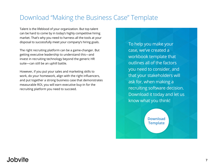## Download "Making the Business Case" Template

Talent is the lifeblood of your organization. But top talent can be hard to come by in today's highly competitive hiring market. That's why you need to harness all the tools at your disposal to successfully meet your company's hiring goals.

The right recruiting platform can be a game-changer. But getting executive leadership to understand this—and invest in recruiting technology beyond the generic HR suite—can still be an uphill battle.

However, if you put your sales and marketing skills to work, do your homework, align with the right influencers, and put together a strong business case that demonstrates measurable ROI, you will earn executive buy-in for the recruiting platform you need to succeed.

To help you make your case, we've created a workbook template that outlines all of the factors you need to consider, and that your stakeholders will ask for, when making a recruiting software decision. Download it today and let us know what you think!

> **[Download](http://bit.ly/2pxULbO)  Template**